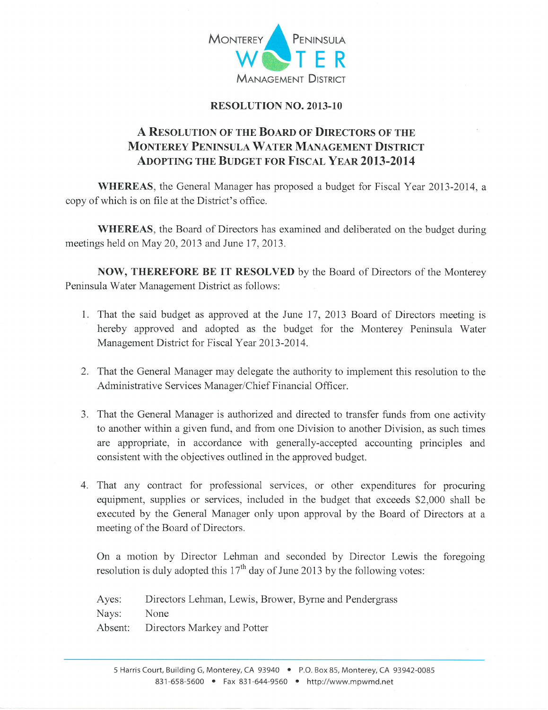

## RESOLUTION NO.2013-10

## A RESOLUTION OF THE BOARD OF DIRECTORS OF THE MONTEREY PENINSULA WATER MANAGEMENT DISTRICT ADOPTING THE BUDGET FOR FISCAL YEAR 2013-2014

WHEREAS, the General Manager has proposed a budget for Fiscal Year 2013-2014, <sup>a</sup> copy of which is on file at the District's office.

WHEREAS, the Board of Directors has examined and deliberated on the budget during meetings held on May 20, 2013 and June 17, 2013.

NOW, THEREFORE BE IT RESOLVED by the Board of Directors of the Monterey Peninsula Water Management District as follows:

- 1. That the said budget as approved at the June 17,2013 Board of Directors meeting is hereby approved and adopted as the budget for the Monterey Peninsula Water Management District for Fiscal Year 2013-2014.
- 2. That the General Manager may delegate the authority to implement this resolution to the Administrative Services Manager/Chief Financial Officer.
- 3. That the General Manager is authorized and directed to transfer funds from one activity to another within a given fund, and from one Division to another Division, as such times are appropriate, in accordance with generally-accepted accounting principles and consistent with the objectives outlined in the approved budget.
- 4. That any contract for professional services, or other expenditures for procuring equipment, supplies or services, included in the budget that exceeds \$2,000 shall be executed by the General Manager only upon approval by the Board of Directors at <sup>a</sup> meeting of the Board of Directors.

On a motion by Director Lehman and seconded by Director Lewis the foregoing resolution is duly adopted this  $17<sup>th</sup>$  day of June 2013 by the following votes:

Ayes: Directors Lehman, Lewis, Brower, Byrne and Pendergrass

Nays: None

Absent: Directors Markey and Potter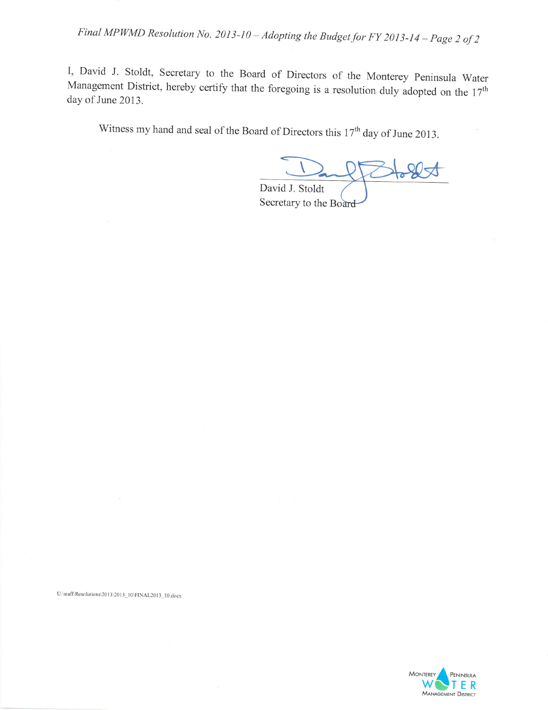Final MPWMD Resolution No. 2013-10 – Adopting the Budget for FY 2013-14 – Page 2 of 2

I, David J. Stoldt, Secretary to the Board of Directors of the Monterey peninsula Water Management District, hereby certify that the foregoing is a resolution duly adopted on the  $17<sup>th</sup>$ day of June 2013.

Witness my hand and seal of the Board of Directors this  $17<sup>th</sup>$  day of June 2013.

David J. Stoldt

Secretary to the Board

U:\staff\Resolutions\2013\2013\_10\FINAL2013\_10.docx